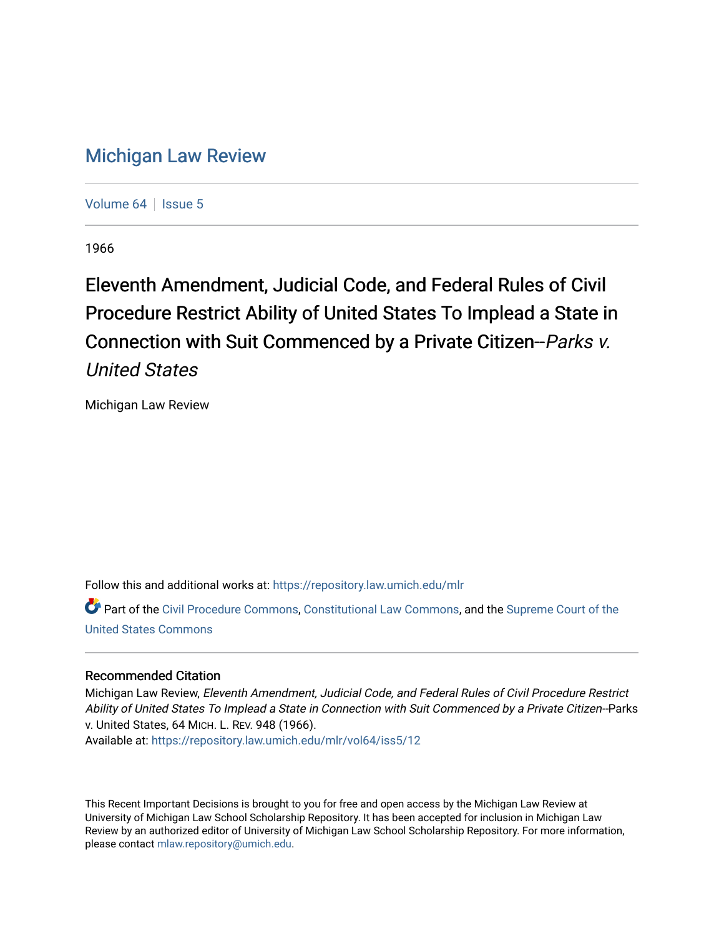## [Michigan Law Review](https://repository.law.umich.edu/mlr)

[Volume 64](https://repository.law.umich.edu/mlr/vol64) | [Issue 5](https://repository.law.umich.edu/mlr/vol64/iss5)

1966

Eleventh Amendment, Judicial Code, and Federal Rules of Civil Procedure Restrict Ability of United States To Implead a State in Connection with Suit Commenced by a Private Citizen--Parks v. United States

Michigan Law Review

Follow this and additional works at: [https://repository.law.umich.edu/mlr](https://repository.law.umich.edu/mlr?utm_source=repository.law.umich.edu%2Fmlr%2Fvol64%2Fiss5%2F12&utm_medium=PDF&utm_campaign=PDFCoverPages) 

Part of the [Civil Procedure Commons,](http://network.bepress.com/hgg/discipline/584?utm_source=repository.law.umich.edu%2Fmlr%2Fvol64%2Fiss5%2F12&utm_medium=PDF&utm_campaign=PDFCoverPages) [Constitutional Law Commons](http://network.bepress.com/hgg/discipline/589?utm_source=repository.law.umich.edu%2Fmlr%2Fvol64%2Fiss5%2F12&utm_medium=PDF&utm_campaign=PDFCoverPages), and the Supreme Court of the [United States Commons](http://network.bepress.com/hgg/discipline/1350?utm_source=repository.law.umich.edu%2Fmlr%2Fvol64%2Fiss5%2F12&utm_medium=PDF&utm_campaign=PDFCoverPages) 

## Recommended Citation

Michigan Law Review, Eleventh Amendment, Judicial Code, and Federal Rules of Civil Procedure Restrict Ability of United States To Implead a State in Connection with Suit Commenced by a Private Citizen--Parks v. United States, 64 MICH. L. REV. 948 (1966). Available at: [https://repository.law.umich.edu/mlr/vol64/iss5/12](https://repository.law.umich.edu/mlr/vol64/iss5/12?utm_source=repository.law.umich.edu%2Fmlr%2Fvol64%2Fiss5%2F12&utm_medium=PDF&utm_campaign=PDFCoverPages) 

This Recent Important Decisions is brought to you for free and open access by the Michigan Law Review at University of Michigan Law School Scholarship Repository. It has been accepted for inclusion in Michigan Law Review by an authorized editor of University of Michigan Law School Scholarship Repository. For more information, please contact [mlaw.repository@umich.edu.](mailto:mlaw.repository@umich.edu)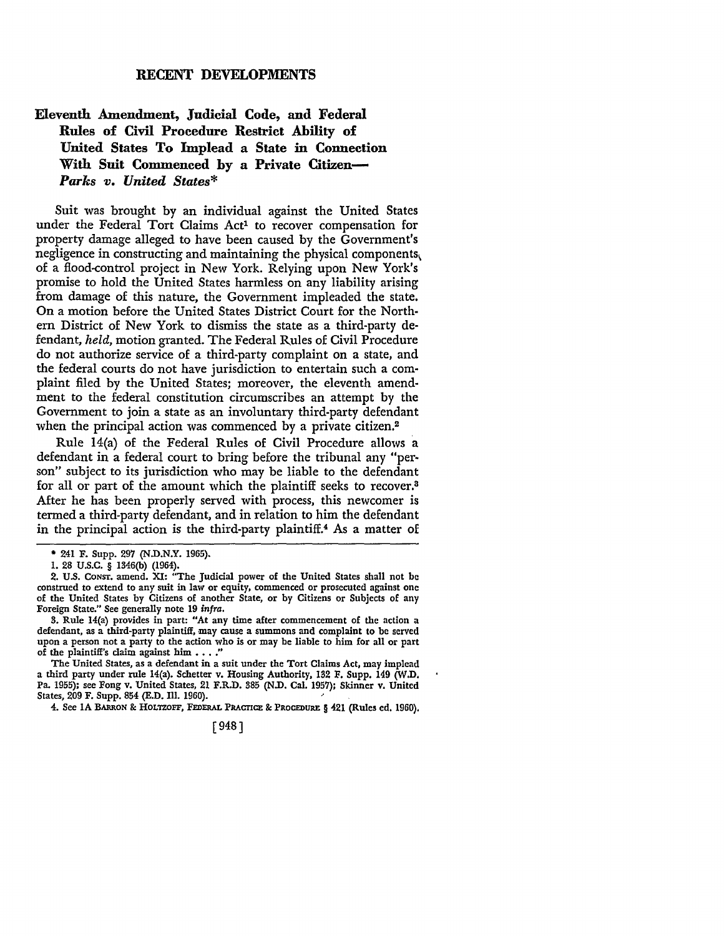## RECENT DEVELOPMENTS

## **Eleventh Amendment, Judicial Code, and Federal Rules of Civil Procedure Restrict Ability of**  United States To Implead a State in Connection With Suit Commenced by a Private Citizen-*Parks v. United States\**

Suit was brought by an individual against the United States under the Federal Tort Claims Act<sup>1</sup> to recover compensation for property damage alleged to have been caused by the Government's negligence in constructing and maintaining the physical components\ of a flood-control project in New York. Relying upon New York's promise to hold the United States harmless on any liability arising from damage of this nature, the Government impleaded the state. On a motion before the United States District Court for the Northern District of New York to dismiss the state as a third-party defendant, *held,* motion granted. The Federal Rules of Civil Procedure do not authorize service of a third-party complaint on a state, and the federal courts do not have jurisdiction to entertain such a complaint filed by the United States; moreover, the eleventh amendment to the federal constitution circumscribes an attempt by the Government to join a state as an involuntary third-party defendant when the principal action was commenced by a private citizen.<sup>2</sup>

Rule 14(a) of the Federal Rules of Civil Procedure allows a defendant in a federal court to bring before the tribunal any "person" subject to its jurisdiction who may be liable to the defendant for all or part of the amount which the plaintiff seeks to recover.<sup>8</sup> After he has been properly served with process, this newcomer is termed a third-party defendant, and in relation to him the defendant in the principal action is the third-party plaintiff.4 As a matter of

3. Rule 14(a) provides in part: "At any time after commencement of the action a defendant, as a third-party plaintiff, may cause a summons and complaint to be served upon a person not a party to the action who is or may be liable to him for all or part of the plaintiff's claim against him  $\ldots$ ."

The United States, as a defendant in a suit under the Tort Claims Act, may implead a third party under rule 14(a). Schetter v. Housing Authority, 132 F. Supp. 149 (W.D. Pa. 1955); see Fong v. United States, 21 F.R.D. 385 (N.D. Cal. 1957); Skinner v. United States, 209 F. Supp. 854 (E.D. Ill. 1960).

4. See IA BARRON & HOLTZOFF, FEDERAL PRACTICE & PROCEDURE § 421 (Rules ed. 1960).

[948]

<sup>• 241</sup> F. Supp. 297 (N.D.N.Y. 1965).

I. 28 U.S.C. § 1346(b) (1964).

<sup>2.</sup> U.S. CoNsr. amend. XI: "The Judicial power of the United States shall not be construed to extend to any suit in law or equity, commenced or prosecuted against one of the United States by Citizens of another State, or by Citizens or Subjects of any Foreign State." See generally note 19 *infra.*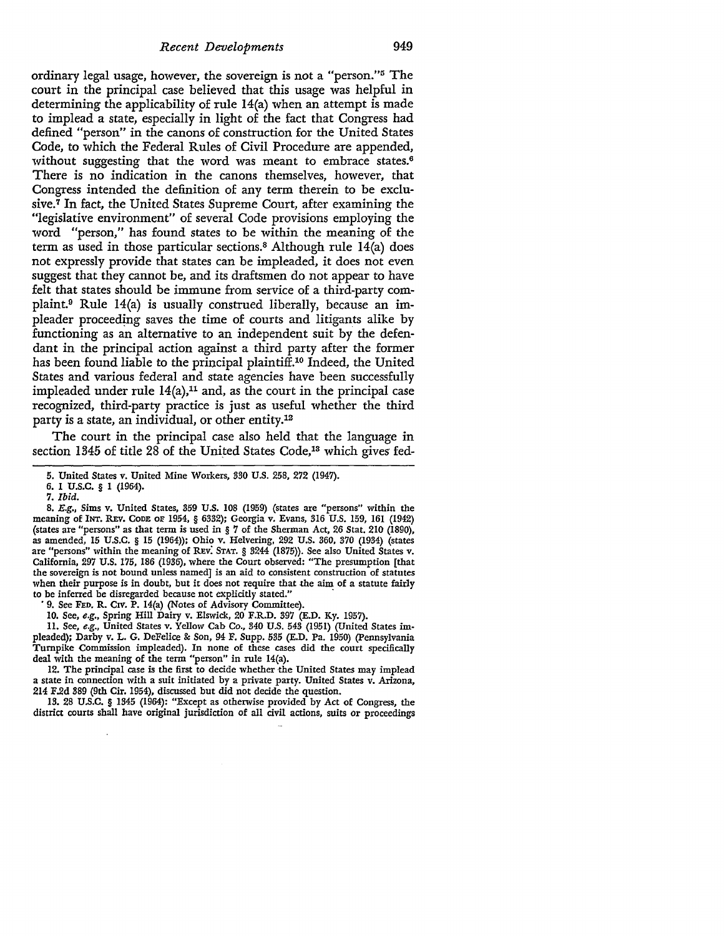ordinary legal usage, however, the sovereign is not a "person."5 The court in the principal case believed that this usage was helpful in determining the applicability of rule 14(a) when an attempt is made to implead a state, especially in light of the fact that Congress had defined "person" in the canons of construction for the United States Code, to which the Federal Rules of Civil Procedure are appended, without suggesting that the word was meant to embrace states.<sup>6</sup> There is no indication in the canons themselves, however, that Congress intended the definition of any term therein to be exclusive.<sup>7</sup> In fact, the United States Supreme Court, after examining the "legislative environment" of several Code provisions employing the word "person," has found states to be within the meaning of the term as used in those particular sections.8 Although rule 14(a) does not expressly provide that states can be impleaded, it does not even suggest that they cannot be, and its draftsmen do not appear to have felt that states should be immune from service of a third-party complaint.9 Rule 14(a) is usually construed liberally, because an impleader proceeding saves the time of courts and litigan\_ts alike by functioning as an alternative to an independent suit by the defendant in the principal action against a third party after the former has been found liable to the principal plaintiff.10 Indeed, the United States and various federal and state agencies have been successfully impleaded under rule  $14(a)$ ,<sup>11</sup> and, as the court in the principal case recognized, third-party practice is just as useful whether the third party is a state, an individual, or other entity.12

The court in the principal case also held that the language in section 1345 of title 28 of the United States Code,<sup>13</sup> which gives fed-

8. E.g., Sims v. United States, 359 U.S. 108 (1959) (states are "persons" within the meaning of INT. REV. CODE OF 1954, § 6332); Georgia v. Evans, 316 U.S. 159, 161 (1942) (states are "persons" as that term is used in § 7 of the Sherman Act, 26 Stat. 210 (1890), as amended, 15 U.S.C. § 15 (1964)); Ohio v. Helvering, 292 U.S. 360, 370 (1934) (states are "persons" within the meaning of REv: STAT. § 3244 (1875)). See also United States v. California, 297 U.S. 175, 186 (1936), where the Court observed: "The presumption [that the sovereign is not bound unless named) is an aid to consistent construction of statutes when their purpose is in doubt, but it does not require that the aim of a statute fairly to be inferred be disregarded because not explicitly stated."

9. See FED. R. CIV. P. 14(a) (Notes of Advisory Committee).

IO. See, *e.g.,* Spring Hill Dairy v. Elswick, 20 F.R.D. 397 (E.D. Ky. 1957).

11. See, *e.g.,* United States v. Yellow Cab Co., 340 U.S. 543 (1951) (United States im• pleaded); Darby v. L. G. DeFelice & Son, 94 F. Supp. 535 (E.D. Pa. 1950) (Pennsylvania Turnpike Commission impleaded). In none of these cases did the court specifically deal with the meaning of the term "person" in rule 14(a).

12. The principal case is the first to decide whether ·the United States may implead a state in connection with a suit initiated by a private party. United States v. Arizona, 214 F.2d 389 (9th Cir. 1954), discussed but did not decide the question.

13. 28 U.S.C. § 1345 (1964): "Except as otherwise provided by Act of Congress, the district courts shall have original jurisdiction of all civil actions, suits or proceedings

<sup>5.</sup> United States v. United Mine Workers, 330 U.S. 258, 272 (1947).

<sup>6.</sup> I U.S.C. § 1 (1964).

<sup>7.</sup> *Ibid.*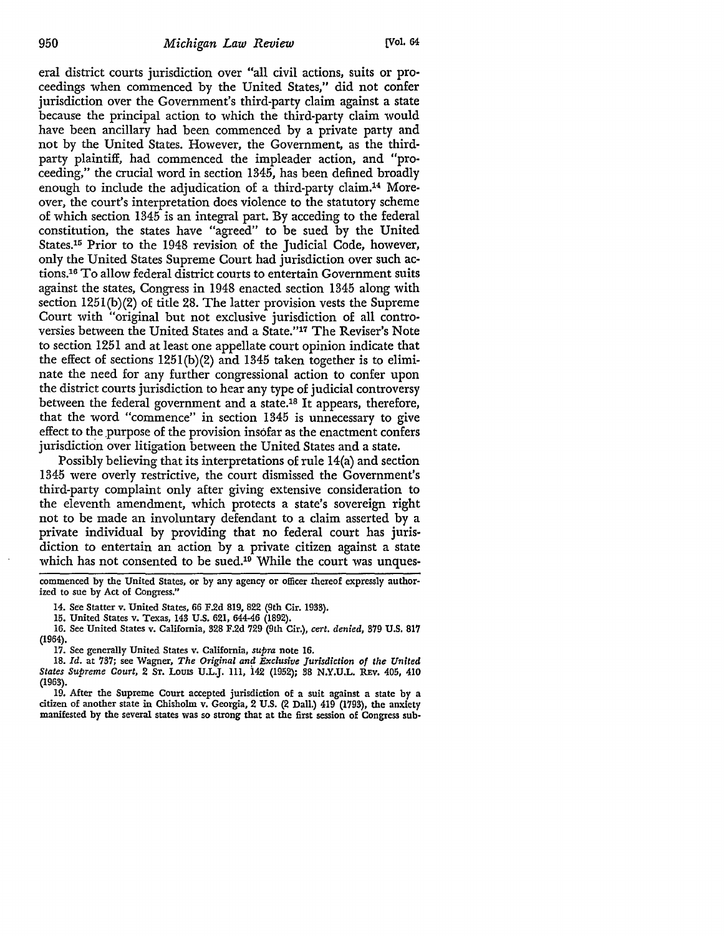eral district courts jurisdiction over "all civil actions, suits or proceedings when commenced by the United States," did not confer jurisdiction over the Government's third-party claim against a state because the principal action to which the third-party claim would have been ancillary had been commenced by a private party and not by the United States. However, the Government, as the thirdparty plaintiff, had commenced the impleader action, and "proceeding," the crucial word in section 1345, has been defined broadly enough to include the adjudication of a third-party claim.14 Moreover, the court's interpretation does violence to the statutory scheme of which section 1345 is an integral part. By acceding to the federal constitution, the states have "agreed" to be sued by the United States.15 Prior to the 1948 revision of the Judicial Code, however, only the United States Supreme Court had jurisdiction over such actions.16 To allow federal district courts to entertain Government suits against the states, Congress in 1948 enacted section 1345 along with section 1251(b)(2) of title 28. The latter provision vests the Supreme Court with "original but not exclusive jurisdiction of all controversies between the United States and a State."17 The Reviser's Note to section 1251 and at least one appellate court opinion indicate that the effect of sections 1251(b)(2) and 1345 taken together is to eliminate the need for any further congressional action to confer upon the district courts jurisdiction to hear any type of judicial controversy between the federal government and a state.18 It appears, therefore, that the word "commence" in section 1345 is unnecessary to give effect to the purpose of the provision insofar as the enactment confers jurisdiction over litigation between the United States and a state.

Possibly believing that its interpretations of rule 14(a) and section 1345 were overly restrictive, the court dismissed the Government's third-party complaint only after giving extensive consideration to the eleventh amendment, which protects a state's sovereign right not to be made an involuntary defendant to a claim asserted by a private individual by providing that no federal court has jurisdiction to entertain an action by a private citizen against a state which has not consented to be sued.<sup>19</sup> While the court was unques-

commenced by the United States, or by any agency or officer thereof expressly authorized to sue by Act of Congress."

14. See Statter v. United States, 66 F.2d 819, 822 (9th Cir. 1933).

15. United States v. Texas, 143 U.S. 621, 644-46 (1892).

16. See United States v. California, 328 F.2d 729 (9th Cir.), *cert. denied,* 379 **U.S. 817**  (1964).

17. See generally United States v. California, *supra* note 16.

18. Id. at 737; see Wagner, *The Original and Exclusive Jurisdiction of the United States Supreme Court,* 2 ST. LOUIS U.L.J. 111, 142 (1952); 38 N.Y.U.L. REV, 405, 410 (1963).

19. After the Supreme Court accepted jurisdiction of a suit against a state by a citizen of another state in Chisholm v. Georgia, 2 U.S. (2 Dall.) 419 (1793), the anxiety manifested by the several states was so strong that at the first session of Congress sub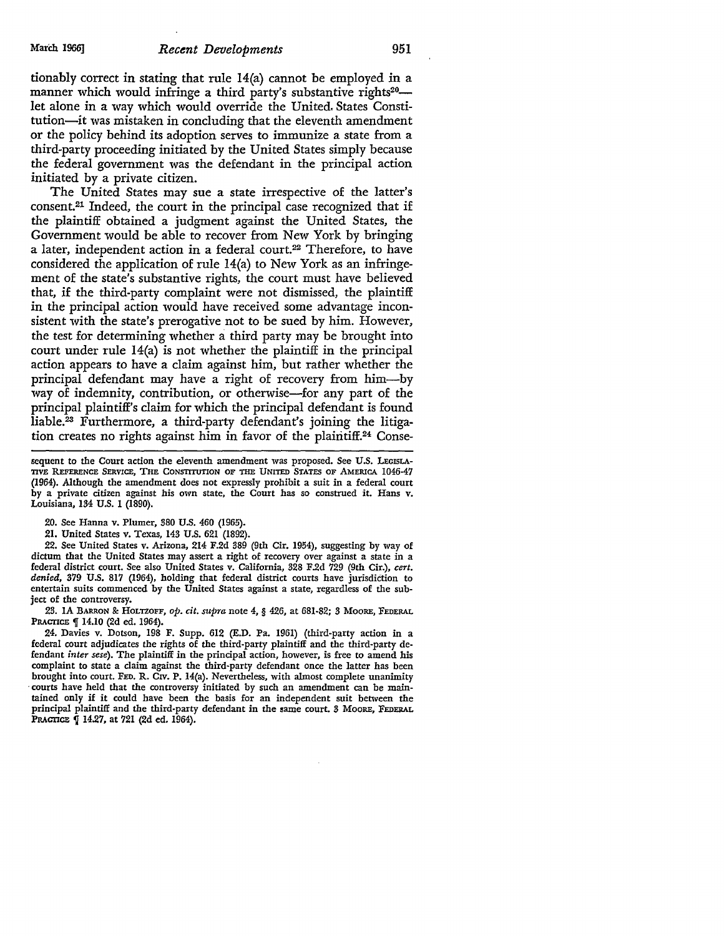tionably correct in stating that rule 14(a) cannot be employed in a manner which would infringe a third party's substantive rights<sup>20</sup>let alone in a way which would override the United. States Constitution-it was mistaken in concluding that the eleventh amendment or the policy behind its adoption serves to immunize a state from a third-party proceeding initiated by the United States simply because the federal government was the defendant in the principal action initiated by a private citizen.

The United States may sue a state irrespective of the latter's consent.21 Indeed, the court in the principal case recognized that if the plaintiff obtained a judgment against the United States, the Government would be able to recover from New York by bringing a later, independent action in a federal court.<sup>22</sup> Therefore, to have considered the application of rule 14(a) to New York as an infringement of the state's substantive rights, the court must have believed that, if the third-party complaint were not dismissed, the plaintiff in the principal action would have received some advantage inconsistent with the state's prerogative not to be sued by him. However, the test for determining whether a third party may be brought into court under rule 14(a) is not whether the plaintiff in the principal action appears to have a claim against him, but rather whether the principal defendant may have a right of recovery from him-by way of indemnity, contribution, or otherwise—for any part of the principal plaintiff's claim for which the principal defendant is found liable.23 Furthermore, a third-party defendant's joining the litigation creates no rights against him in favor of the plaintiff.<sup>24</sup> Conse-

sequent to the Court action the eleventh amendment was proposed. See U.S. LEGISLA-TIVE REFERENCE SERVICE, THE CONSTITUTION OF THE UNITED STATES OF AMERICA 1046-47 (1964). Although the amendment does not expressly prohibit a suit in a federal court by a private citizen against his own state, the Court has so construed it. Hans v. Louisiana, 134 U.S. 1 (1890).

20. See Hanna v. Plumer, 380 U.S. 460 (1965).

21. United States v. Texas, 143 U.S. 621 (1892).

22. See United States v. Arizona, 214 F.2d 389 (9th Cir. 1954), suggesting by way of dictum that the United States may assert a right of recovery over against a state in a federal district court. See also United States v. California, 328 F.2d 729 (9th Cir.), *cert. denied,* 379 U.S. 817 (1964), holding that federal district courts have jurisdiction to entertain suits commenced by the United States against a state, regardless of the subject of the controversy.

23. IA BARRON & HoLTZOFF, *op. cit. supra* note 4, § 426, at 681-82; 3 MOORE, FEDERAL PRACTICE <sup>q</sup> 14.10 (2d ed. 1964).

24. Davies v. Dotson, 198 F. Supp. 612 (E.D. Pa. 1961) (third-party action in a federal court adjudicates the rights of the third-party plaintiff and the third-party defendant *inter sese).* The plaintiff in the principal action, however, is free to amend his complaint to state a claim against the third-party defendant once the latter has been brought into court. FED. R. CIV. P. 14(a). Nevertheless, with almost complete unanimity courts have held that the controversy initiated by such an amendment can be maintained only if it could have been the basis for an independent suit between the principal plaintiff and the third-party defendant in the same court. 3 MOORE, FEDERAL PRACIICE | 14.27, at 721 (2d ed. 1964).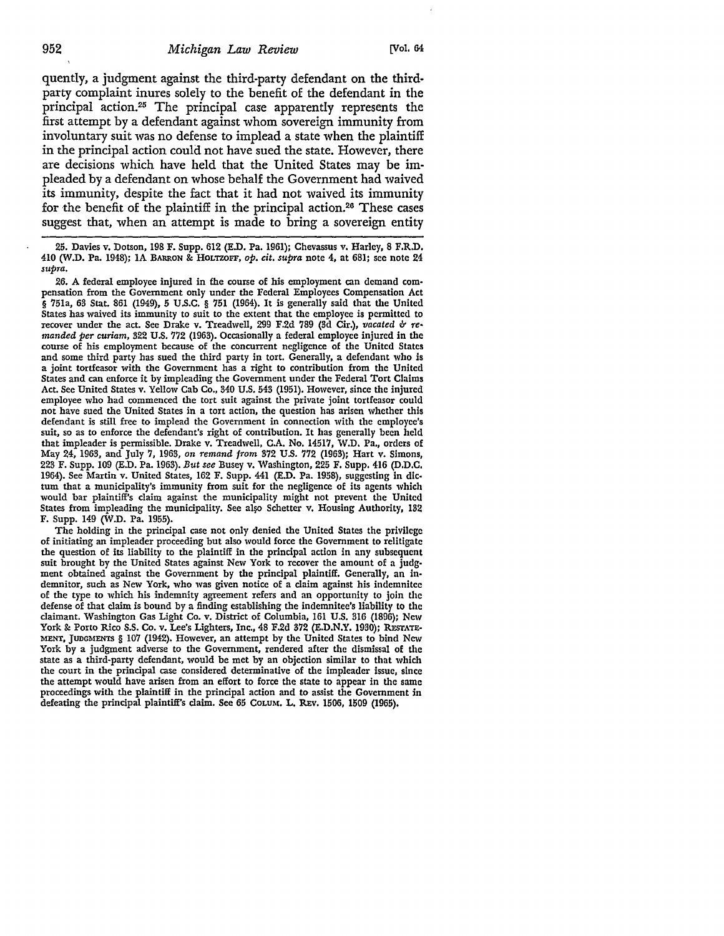quently, a judgment against the third-party defendant on the thirdparty complaint inures solely to the benefit of the defendant in the principal action.25 The principal case apparently represents the first attempt by a defendant against whom sovereign immunity from involuntary suit was no defense to implead a state when the plaintiff in the principal action could not have sued the state. However, there are decisions which have held that the United States may be impleaded by a defendant on whose behalf the Government had waived its immunity, despite the fact that it had not waived its immunity for the benefit of the plaintiff in the principal action.<sup>26</sup> These cases suggest that, when an attempt is made to bring a sovereign entity

25. Davies v. Dotson, 198 F. Supp. 612 (E.D. Pa. 1961); Chevassus v. Harley, 8 F,R.D. 410 (W.D. Pa. 1948); IA BARRON & HoLTZOFF, *op. cit. supra* note 4, at 681; see note 24 *supra.* 

26. A federal employee injured in the course of his employment can demand com• pensation from the Government only under the Federal Employees Compensation Act § 751a, 63 Stat. 861 (1949), 5 U.S.C. § 751 (1964). It is generally said that the United States has waived its immunity to suit to the extent that the employee is permitted to recover under the act. See Drake v. Treadwell, 299 F.2d 789 (3d Cir.), *vacated & remanded per curiam,* 322 U.S. 772 (1963). Occasionally a federal employee injured in the course of his employment because of the concurrent negligence of the United States and some third party has sued the third party in tort. Generally, a defendant who is a joint tortfeasor with the Government has a right to contribution from the United States and can enforce it by impleading the Government under the Federal Tort Claims Act. See United States v. Yellow Cab Co., 340 U.S. 543 (1951). However, since the injured employee who had commenced the tort suit against the private joint tortfeasor could not have sued the United States in a tort action, the question has arisen whether this defendant is still free to implead the Government in connection with the employee's suit, so as to enforce the defendant's right of contribution. It has generally been held that impleader is permissible. Drake v. Treadwell, C.A. No. 14517, W.D, Pa., orders of May 24, 1963, and July 7, 1963, *on remand from* 372 U.S. 772 (1963); Hart v. Simons, 223 F. Supp. 109 (E.D. Pa. 1963). *But see* Busey v. Washington, 225 F. Supp. 416 (D,D,C. 1964). See Martin v. United States, 162 F. Supp. 441 (E.D. Pa. 1958), suggesting in dlc• tum that a municipality's immunity from suit for the negligence of its agents which would bar plaintiff's claim against the municipality might not prevent the United States from impleading the municipality. See also Schetter v. Housing Authority, 132 F. Supp. 149 (W.D. Pa. 1955).

The holding in the principal case not only denied the United States the privilege of initiating an impleader proceeding but also would force the Government to relitigate the question of its liability to the plaintiff in the principal action in any subsequent suit brought by the United States against New York to recover the amount of a judgment obtained against the Government by the principal plaintiff. Generally, an indemnitor, such as New York, who was given notice of a claim against his indemnitee of the type to which his indemnity agreement refers and an opportunity to join the defense of that claim is bound by a finding establishing the indemnitec's liability to the claimant. Washington Gas Light Co. v. District of Columbia, 161 U.S. 316 (1896); New York & Porto Rico S.S. Co. v. Lee's Lighters, Inc., 48 F.2d 372 (E.D.N.Y. 1930); RESTATE-MENT, JUDGMENTS § 107 (1942). However, an attempt by the United States to bind New York by a judgment adverse to the Government, rendered after the dismissal of the state as a third-party defendant, would be met by an objection similar to that which the court in the principal case considered determinative of the impleader issue, since the attempt would have arisen from an effort to force the state to appear in the same proceedings with the plaintiff in the principal action and to assist the Government in defeating the principal plaintiff's claim. See 65 CoLUM. L. REv. 1506, 1509 (1965).